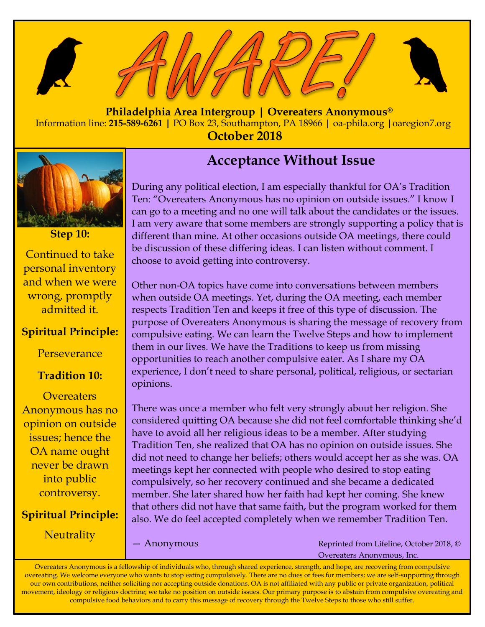

 **Philadelphia Area Intergroup | Overeaters Anonymous®** Information line: **215-589-6261 |** PO Box 23, Southampton, PA 18966 **|** oa-phila.org **|**oaregion7.org **October 2018**



**Step 10:** Continued to take personal inventory and when we were wrong, promptly admitted it.

### **Spiritual Principle:**

Perseverance

### **Tradition 10:**

**Overeaters** Anonymous has no opinion on outside issues; hence the OA name ought never be drawn into public controversy.

### **Spiritual Principle:**

**Neutrality** 

# **Acceptance Without Issue**

During any political election, I am especially thankful for OA's Tradition Ten: "Overeaters Anonymous has no opinion on outside issues." I know I can go to a meeting and no one will talk about the candidates or the issues. I am very aware that some members are strongly supporting a policy that is different than mine. At other occasions outside OA meetings, there could be discussion of these differing ideas. I can listen without comment. I choose to avoid getting into controversy.

Other non-OA topics have come into conversations between members when outside OA meetings. Yet, during the OA meeting, each member respects Tradition Ten and keeps it free of this type of discussion. The purpose of Overeaters Anonymous is sharing the message of recovery from compulsive eating. We can learn the Twelve Steps and how to implement them in our lives. We have the Traditions to keep us from missing opportunities to reach another compulsive eater. As I share my OA experience, I don't need to share personal, political, religious, or sectarian opinions.

There was once a member who felt very strongly about her religion. She considered quitting OA because she did not feel comfortable thinking she'd have to avoid all her religious ideas to be a member. After studying Tradition Ten, she realized that OA has no opinion on outside issues. She did not need to change her beliefs; others would accept her as she was. OA meetings kept her connected with people who desired to stop eating compulsively, so her recovery continued and she became a dedicated member. She later shared how her faith had kept her coming. She knew that others did not have that same faith, but the program worked for them also. We do feel accepted completely when we remember Tradition Ten.

— Anonymous

Reprinted from Lifeline, October 2018, © Overeaters Anonymous, Inc.

Overeaters Anonymous is a fellowship of individuals who, through shared experience, strength, and hope, are recovering from compulsive overeating. We welcome everyone who wants to stop eating compulsively. There are no dues or fees for members; we are self-supporting through our own contributions, neither soliciting nor accepting outside donations. OA is not affiliated with any public or private organization, political movement, ideology or religious doctrine; we take no position on outside issues. Our primary purpose is to abstain from compulsive overeating and compulsive food behaviors and to carry this message of recovery through the Twelve Steps to those who still suffer.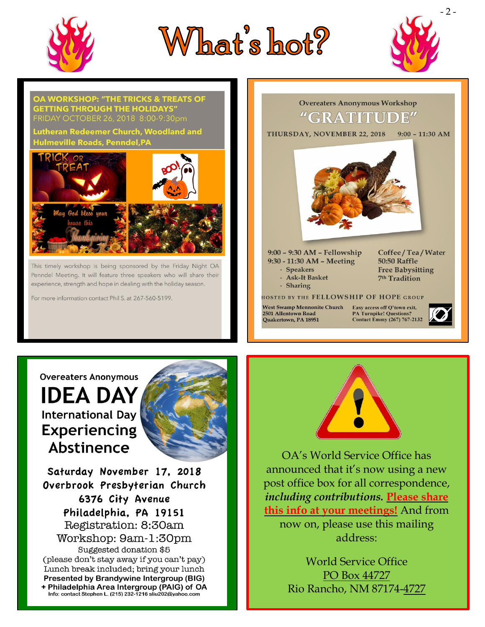

# What's hot?





#### **Overeaters Anonymous**

**IDEA DAY International Day Experiencing** Abstinence



Saturday November 17, 2018 Overbrook Presbyterian Church 6376 City Avenue Philadelphia, PA 19151 Registration: 8:30am Workshop: 9am-1:30pm Suggested donation \$5 (please don't stay away if you can't pay) Lunch break included; bring your lunch Presented by Brandywine Intergroup (BIG) + Philadelphia Area Intergroup (PAIG) of OA Info: contact Stephen L. (215) 232-1216 sliu202@yahoo.com



OA's World Service Office has announced that it's now using a new post office box for all correspondence, *including contributions.* **Please share this info at your meetings!** And from now on, please use this mailing address:

> World Service Office PO Box 44727 Rio Rancho, NM 87174-4727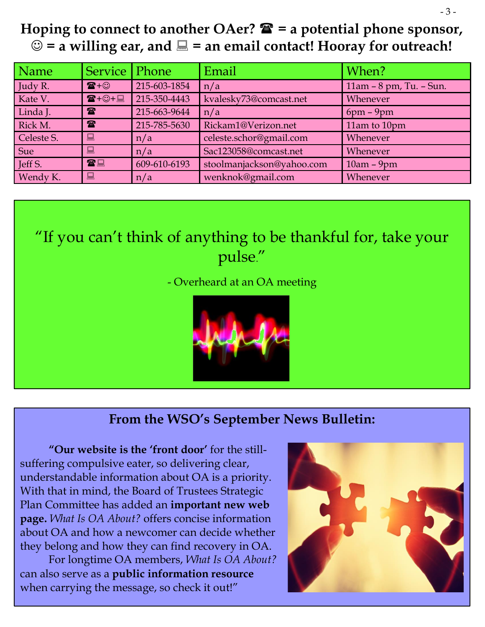## **Hoping to connect to another OAer? = a potential phone sponsor,**   $\odot$  = a willing ear, and  $\Box$  = an email contact! Hooray for outreach!

| Name       | Service   Phone                    |              | Email                     | When?                   |
|------------|------------------------------------|--------------|---------------------------|-------------------------|
| Judy R.    | $\mathbf{F} + \odot$               | 215-603-1854 | n/a                       | 11am - 8 pm, Tu. - Sun. |
| Kate V.    | $\mathbf{R} + \bigcirc \mathbf{H}$ | 215-350-4443 | kvalesky73@comcast.net    | Whenever                |
| Linda J.   | $\mathbf{r}$                       | 215-663-9644 | n/a                       | $6pm - 9pm$             |
| Rick M.    | $\mathbf{r}$                       | 215-785-5630 | Rickam1@Verizon.net       | 11am to 10pm            |
| Celeste S. | $\blacksquare$                     | n/a          | celeste.schor@gmail.com   | Whenever                |
| Sue        | 鳳                                  | n/a          | Sac123058@comcast.net     | Whenever                |
| Jeff S.    | 雷口                                 | 609-610-6193 | stoolmanjackson@yahoo.com | $10am - 9pm$            |
| Wendy K.   | $\blacksquare$                     | n/a          | wenknok@gmail.com         | Whenever                |

# "If you can't think of anything to be thankful for, take your pulse."

- Overheard at an OA meeting



### **From the WSO's September News Bulletin:**

**"Our website is the 'front door'** for the stillsuffering compulsive eater, so delivering clear, understandable information about OA is a priority. With that in mind, the Board of Trustees Strategic Plan Committee has added an **important new web page.** *[What Is OA About?](https://oa.org/what-is-oa-about/)* offers concise information about OA and how a newcomer can decide whether they belong and how they can find recovery in OA.

For longtime OA members, *What Is OA About?* can also serve as a **public information resource** when carrying the message, so check it out!"